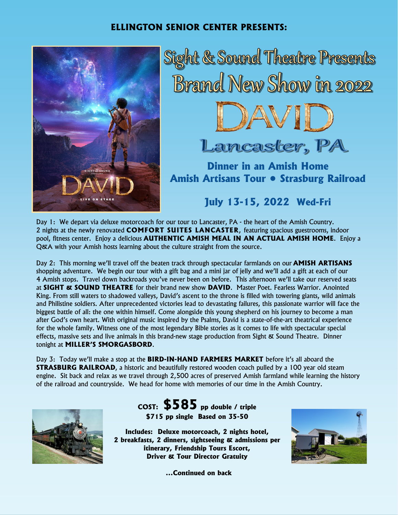## **ELLINGTON SENIOR CENTER PRESENTS:**



Sight & Sound Theatre Presents Brand New Show in 2022



Lancaster, PA

**Dinner in an Amish Home Amish Artisans Tour • Strasburg Railroad**

**July 13-15, 2022 Wed-Fri**

Day 1: We depart via deluxe motorcoach for our tour to Lancaster, PA - the heart of the Amish Country. 2 nights at the newly renovated **COMFORT SUITES LANCASTER**, featuring spacious guestrooms, indoor pool, fitness center. Enjoy a delicious **AUTHENTIC AMISH MEAL IN AN ACTUAL AMISH HOME**. Enjoy a Q&A with your Amish hosts learning about the culture straight from the source.

Day 2: This morning we'll travel off the beaten track through spectacular farmlands on our **AMISH ARTISANS**  shopping adventure. We begin our tour with a gift bag and a mini jar of jelly and we'll add a gift at each of our 4 Amish stops. Travel down backroads you've never been on before. This afternoon we'll take our reserved seats at **SIGHT & SOUND THEATRE** for their brand new show **DAVID**. Master Poet. Fearless Warrior. Anointed King. From still waters to shadowed valleys, David's ascent to the throne is filled with towering giants, wild animals and Philistine soldiers. After unprecedented victories lead to devastating failures, this passionate warrior will face the biggest battle of all: the one within himself. Come alongside this young shepherd on his journey to become a man after God's own heart. With original music inspired by the Psalms, David is a state-of-the-art theatrical experience for the whole family. Witness one of the most legendary Bible stories as it comes to life with spectacular special effects, massive sets and live animals in this brand-new stage production from Sight & Sound Theatre. Dinner tonight at **MILLER'S SMORGASBORD**.

Day 3: Today we'll make a stop at the **BIRD-IN-HAND FARMERS MARKET** before it's all aboard the **STRASBURG RAILROAD**, a historic and beautifully restored wooden coach pulled by a 100 year old steam engine. Sit back and relax as we travel through 2,500 acres of preserved Amish farmland while learning the history of the railroad and countryside. We head for home with memories of our time in the Amish Country.



**COST: \$585 pp double / triple \$715 pp single Based on 35-50**

**Includes: Deluxe motorcoach, 2 nights hotel, 2 breakfasts, 2 dinners, sightseeing & admissions per itinerary, Friendship Tours Escort, Driver & Tour Director Gratuity**



**...Continued on back**